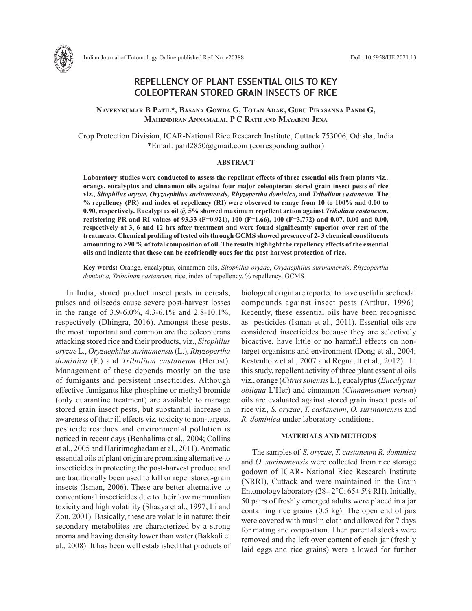# **REPELLENCY OF PLANT ESSENTIAL OILS TO KEY COLEOPTERAN STORED GRAIN INSECTS OF RICE**

**Naveenkumar B Patil\*, Basana Gowda G, Totan Adak, Guru Pirasanna Pandi G, Mahendiran Annamalai, P C Rath and Mayabini Jena**

Crop Protection Division, ICAR-National Rice Research Institute, Cuttack 753006, Odisha, India \*Email: patil2850@gmail.com (corresponding author)

#### **ABSTRACT**

**Laboratory studies were conducted to assess the repellant effects of three essential oils from plants viz***.,* **orange, eucalyptus and cinnamon oils against four major coleopteran stored grain insect pests of rice viz.,** *Sitophilus oryzae, Oryzaephilus surinamensis, Rhyzopertha dominica,* **and** *Tribolium castaneum.* **The % repellency (PR) and index of repellency (RI) were observed to range from 10 to 100% and 0.00 to 0.90, respectively. Eucalyptus oil @ 5% showed maximum repellent action against** *Tribolium castaneum,* **registering PR and RI values of 93.33 (F=0.921), 100 (F=1.66), 100 (F=3.772) and 0.07, 0.00 and 0.00, respectively at 3, 6 and 12 hrs after treatment and were found significantly superior over rest of the treatments. Chemical profiling of tested oils through GCMS showed presence of 2- 3 chemical constituents amounting to >90 % of total composition of oil. The results highlight the repellency effects of the essential oils and indicate that these can be ecofriendly ones for the post-harvest protection of rice.**

**Key words:** Orange, eucalyptus, cinnamon oils, *Sitophilus oryzae*, *Oryzaephilus surinamensis*, *Rhyzopertha dominica, Tribolium castaneum,* rice, index of repellency, % repellency, GCMS

In India, stored product insect pests in cereals, pulses and oilseeds cause severe post-harvest losses in the range of 3.9-6.0%, 4.3-6.1% and 2.8-10.1%, respectively (Dhingra, 2016). Amongst these pests, the most important and common are the coleopterans attacking stored rice and their products, viz., *Sitophilus oryzae* L., *Oryzaephilus surinamensis* (L.), *Rhyzopertha dominica* (F.) and *Tribolium castaneum* (Herbst). Management of these depends mostly on the use of fumigants and persistent insecticides. Although effective fumigants like phosphine or methyl bromide (only quarantine treatment) are available to manage stored grain insect pests, but substantial increase in awareness of their ill effects viz*.* toxicity to non-targets, pesticide residues and environmental pollution is noticed in recent days (Benhalima et al., 2004; Collins et al., 2005 and Haririmoghadam et al., 2011). Aromatic essential oils of plant origin are promising alternative to insecticides in protecting the post-harvest produce and are traditionally been used to kill or repel stored-grain insects (Isman, 2006). These are better alternative to conventional insecticides due to their low mammalian toxicity and high volatility (Shaaya et al., 1997; Li and Zou, 2001). Basically, these are volatile in nature; their secondary metabolites are characterized by a strong aroma and having density lower than water (Bakkali et al., 2008). It has been well established that products of biological origin are reported to have useful insecticidal compounds against insect pests (Arthur, 1996). Recently, these essential oils have been recognised as pesticides (Isman et al., 2011). Essential oils are considered insecticides because they are selectively bioactive, have little or no harmful effects on nontarget organisms and environment (Dong et al., 2004; Kestenholz et al., 2007 and Regnault et al., 2012). In this study, repellent activity of three plant essential oils viz., orange (*Citrus sinensis* L.), eucalyptus (*Eucalyptus obliqua* L'Her) and cinnamon (*Cinnamomum verum*) oils are evaluated against stored grain insect pests of rice viz*., S. oryzae*, *T. castaneum*, *O. surinamensis* and *R. dominica* under laboratory conditions.

## **MATERIALS AND METHODS**

The samples of *S. oryzae*, *T. castaneum R. dominica*  and *O. surinamensis* were collected from rice storage godown of ICAR- National Rice Research Institute (NRRI), Cuttack and were maintained in the Grain Entomology laboratory ( $28 \pm 2^{\circ}$ C;  $65 \pm 5\%$  RH). Initially, 50 pairs of freshly emerged adults were placed in a jar containing rice grains (0.5 kg). The open end of jars were covered with muslin cloth and allowed for 7 days for mating and oviposition. Then parental stocks were removed and the left over content of each jar (freshly laid eggs and rice grains) were allowed for further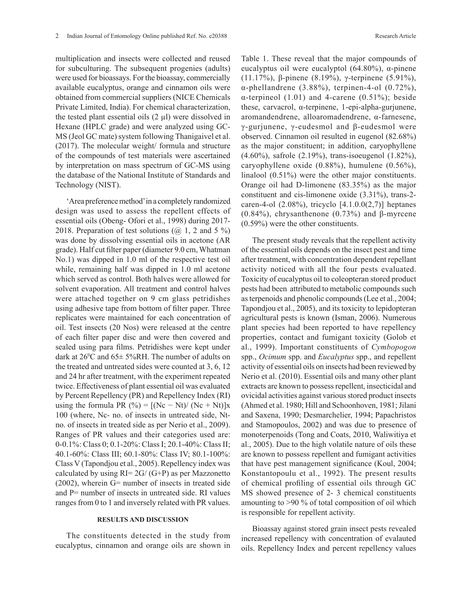multiplication and insects were collected and reused for subculturing. The subsequent progenies (adults) were used for bioassays. For the bioassay, commercially available eucalyptus, orange and cinnamon oils were obtained from commercial suppliers (NICE Chemicals Private Limited, India). For chemical characterization, the tested plant essential oils  $(2 \mu l)$  were dissolved in Hexane (HPLC grade) and were analyzed using GC-MS (Jeol GC mate) system following Thanigaivel et al. (2017). The molecular weight/ formula and structure of the compounds of test materials were ascertained by interpretation on mass spectrum of GC-MS using the database of the National Institute of Standards and Technology (NIST).

'Area preference method' in a completely randomized design was used to assess the repellent effects of essential oils (Obeng- Ofori et al., 1998) during 2017- 2018. Preparation of test solutions  $(Q_0 1, 2, 2, 5)$ was done by dissolving essential oils in acetone (AR grade). Half cut filter paper (diameter 9.0 cm, Whatman No.1) was dipped in 1.0 ml of the respective test oil while, remaining half was dipped in 1.0 ml acetone which served as control. Both halves were allowed for solvent evaporation. All treatment and control halves were attached together on 9 cm glass petridishes using adhesive tape from bottom of filter paper. Three replicates were maintained for each concentration of oil. Test insects (20 Nos) were released at the centre of each filter paper disc and were then covered and sealed using para films. Petridishes were kept under dark at  $26^{\circ}$ C and  $65 \pm 5\%$ RH. The number of adults on the treated and untreated sides were counted at 3, 6, 12 and 24 hr after treatment, with the experiment repeated twice. Effectiveness of plant essential oil was evaluated by Percent Repellency (PR) and Repellency Index (RI) using the formula PR  $(\% ) = [(Nc - Nt)/ (Nc + Nt)]x$ 100 (where, Nc- no. of insects in untreated side, Ntno. of insects in treated side as per Nerio et al., 2009). Ranges of PR values and their categories used are: 0-0.1%: Class 0; 0.1-20%: Class I; 20.1-40%: Class II; 40.1-60%: Class III; 60.1-80%: Class IV; 80.1-100%: Class V (Tapondjou et al., 2005). Repellency index was calculated by using  $RI = 2G / (G + P)$  as per Mazzonetto (2002), wherein G= number of insects in treated side and P= number of insects in untreated side. RI values ranges from 0 to 1 and inversely related with PR values.

### **RESULTS AND DISCUSSION**

The constituents detected in the study from eucalyptus, cinnamon and orange oils are shown in Table 1. These reveal that the major compounds of eucalyptus oil were eucalyptol  $(64.80\%)$ , α-pinene (11.17%), β-pinene (8.19%), γ-terpinene (5.91%), α-phellandrene (3.88%), terpinen-4-ol (0.72%), α-terpineol (1.01) and 4-carene (0.51%); beside these, carvacrol, α-terpinene, 1-epi-alpha-gurjunene, aromandendrene, alloaromadendrene, α-farnesene, γ-gurjunene, γ-eudesmol and β-eudesmol were observed. Cinnamon oil resulted in eugenol (82.68%) as the major constituent; in addition, caryophyllene (4.60%), safrole (2.19%), trans-isoeugenol (1.82%), caryophyllene oxide (0.88%), humulene (0.56%), linalool (0.51%) were the other major constituents. Orange oil had D-limonene (83.35%) as the major constituent and cis-limonene oxide (3.31%), trans-2 caren-4-ol  $(2.08\%)$ , tricyclo  $[4.1.0.0(2,7)]$  heptanes (0.84%), chrysanthenone (0.73%) and β-myrcene (0.59%) were the other constituents.

The present study reveals that the repellent activity of the essential oils depends on the insect pest and time after treatment, with concentration dependent repellant activity noticed with all the four pests evaluated. Toxicity of eucalyptus oil to coleopteran stored product pests had been attributed to metabolic compounds such as terpenoids and phenolic compounds (Lee et al., 2004; Tapondjou et al., 2005), and its toxicity to lepidopteran agricultural pests is known (Isman, 2006). Numerous plant species had been reported to have repellency properties, contact and fumigant toxicity (Golob et al., 1999). Important constituents of *Cymbopogon*  spp., *Ocimum* spp. and *Eucalyptus* spp., and repellent activity of essential oils on insects had been reviewed by Nerio et al. (2010). Essential oils and many other plant extracts are known to possess repellent, insecticidal and ovicidal activities against various stored product insects (Ahmed et al. 1980; Hill and Schoonhoven, 1981; Jilani and Saxena, 1990; Desmarchelier, 1994; Papachristos and Stamopoulos, 2002) and was due to presence of monoterpenoids (Tong and Coats, 2010, Waliwitiya et al., 2005). Due to the high volatile nature of oils these are known to possess repellent and fumigant activities that have pest management significance (Koul, 2004; Konstantopoulu et al., 1992). The present results of chemical profiling of essential oils through GC MS showed presence of 2- 3 chemical constituents amounting to >90 % of total composition of oil which is responsible for repellent activity.

Bioassay against stored grain insect pests revealed increased repellency with concentration of evalauted oils. Repellency Index and percent repellency values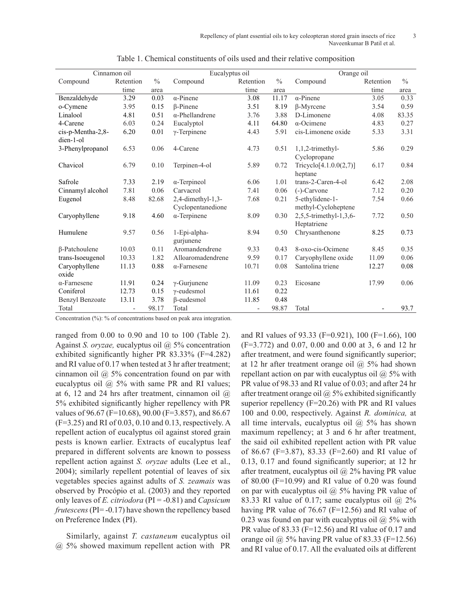|                        | Cinnamon oil |       | Eucalyptus oil         |           |       | Orange oil             |           |               |
|------------------------|--------------|-------|------------------------|-----------|-------|------------------------|-----------|---------------|
| Compound               | Retention    | $\%$  | Compound               | Retention | $\%$  | Compound               | Retention | $\frac{0}{0}$ |
|                        | time         | area  |                        | time      | area  |                        | time      | area          |
| Benzaldehyde           | 3.29         | 0.03  | $\alpha$ -Pinene       | 3.08      | 11.17 | $\alpha$ -Pinene       | 3.05      | 0.33          |
| o-Cymene               | 3.95         | 0.15  | <b>B-Pinene</b>        | 3.51      | 8.19  | β-Myrcene              | 3.54      | 0.59          |
| Linalool               | 4.81         | 0.51  | $\alpha$ -Phellandrene | 3.76      | 3.88  | D-Limonene             | 4.08      | 83.35         |
| 4-Carene               | 6.03         | 0.24  | Eucalyptol             | 4.11      | 64.80 | $\alpha$ -Ocimene      | 4.83      | 0.27          |
| cis-p-Mentha-2,8-      | 6.20         | 0.01  | $\gamma$ -Terpinene    | 4.43      | 5.91  | cis-Limonene oxide     | 5.33      | 3.31          |
| dien-1-ol              |              |       |                        |           |       |                        |           |               |
| 3-Phenylpropanol       | 6.53         | 0.06  | 4-Carene               | 4.73      | 0.51  | $1,1,2$ -trimethyl-    | 5.86      | 0.29          |
|                        |              |       |                        |           |       | Cyclopropane           |           |               |
| Chavicol               | 6.79         | 0.10  | Terpinen-4-ol          | 5.89      | 0.72  | Tricyclo[4.1.0.0(2,7)] | 6.17      | 0.84          |
|                        |              |       |                        |           |       | heptane                |           |               |
| Safrole                | 7.33         | 2.19  | $\alpha$ -Terpineol    | 6.06      | 1.01  | trans-2-Caren-4-ol     | 6.42      | 2.08          |
| Cinnamyl alcohol       | 7.81         | 0.06  | Carvacrol              | 7.41      | 0.06  | $(-)$ -Carvone         | 7.12      | 0.20          |
| Eugenol                | 8.48         | 82.68 | $2,4$ -dimethyl-1,3-   | 7.68      | 0.21  | 5-ethylidene-1-        | 7.54      | 0.66          |
|                        |              |       | Cyclopentanedione      |           |       | methyl-Cycloheptene    |           |               |
| Caryophyllene          | 9.18         | 4.60  | $\alpha$ -Terpinene    | 8.09      | 0.30  | 2,5,5-trimethyl-1,3,6- | 7.72      | 0.50          |
|                        |              |       |                        |           |       | Heptatriene            |           |               |
| Humulene               | 9.57         | 0.56  | 1-Epi-alpha-           | 8.94      | 0.50  | Chrysanthenone         | 8.25      | 0.73          |
|                        |              |       | gurjunene              |           |       |                        |           |               |
| <b>B-Patchoulene</b>   | 10.03        | 0.11  | Aromandendrene         | 9.33      | 0.43  | 8-oxo-cis-Ocimene      | 8.45      | 0.35          |
| trans-Isoeugenol       | 10.33        | 1.82  | Alloaromadendrene      | 9.59      | 0.17  | Caryophyllene oxide    | 11.09     | 0.06          |
| Caryophyllene          | 11.13        | 0.88  | $\alpha$ -Farnesene    | 10.71     | 0.08  | Santolina triene       | 12.27     | 0.08          |
| oxide                  |              |       |                        |           |       |                        |           |               |
| $\alpha$ -Farnesene    | 11.91        | 0.24  | $\gamma$ -Gurjunene    | 11.09     | 0.23  | Eicosane               | 17.99     | 0.06          |
| Coniferol              | 12.73        | 0.15  | $\gamma$ -eudesmol     | 11.61     | 0.22  |                        |           |               |
| <b>Benzyl Benzoate</b> | 13.11        | 3.78  | $\beta$ -eudesmol      | 11.85     | 0.48  |                        |           |               |
| Total                  |              | 98.17 | Total                  |           | 98.87 | Total                  |           | 93.7          |

Table 1. Chemical constituents of oils used and their relative composition

Concentration (%): % of concentrations based on peak area integration.

ranged from 0.00 to 0.90 and 10 to 100 (Table 2). Against *S. oryzae,* eucalyptus oil @ 5% concentration exhibited significantly higher PR 83.33% (F=4.282) and RI value of 0.17 when tested at 3 hr after treatment; cinnamon oil  $\omega$  5% concentration found on par with eucalyptus oil  $\omega$  5% with same PR and RI values; at 6, 12 and 24 hrs after treatment, cinnamon oil  $\omega$ 5% exhibited significantly higher repellency with PR values of 96.67 (F=10.68), 90.00 (F=3.857), and 86.67 (F=3.25) and RI of 0.03, 0.10 and 0.13, respectively. A repellent action of eucalyptus oil against stored grain pests is known earlier. Extracts of eucalyptus leaf prepared in different solvents are known to possess repellent action against *S. oryzae* adults (Lee et al., 2004); similarly repellent potential of leaves of six vegetables species against adults of *S. zeamais* was observed by Procópio et al. (2003) and they reported only leaves of *E. citriodora* (PI = -0.81) and *Capsicum frutescens* (PI= -0.17) have shown the repellency based on Preference Index (PI).

Similarly, against *T. castaneum* eucalyptus oil @ 5% showed maximum repellent action with PR and RI values of 93.33 (F=0.921), 100 (F=1.66), 100 (F=3.772) and 0.07, 0.00 and 0.00 at 3, 6 and 12 hr after treatment, and were found significantly superior; at 12 hr after treatment orange oil  $\omega$  5% had shown repellant action on par with eucalyptus oil  $\omega$  5% with PR value of 98.33 and RI value of 0.03; and after 24 hr after treatment orange oil  $\omega$  5% exhibited significantly superior repellency (F=20.26) with PR and RI values 100 and 0.00, respectively. Against *R. dominica,* at all time intervals, eucalyptus oil  $\omega$ , 5% has shown maximum repellency; at 3 and 6 hr after treatment, the said oil exhibited repellent action with PR value of 86.67 (F=3.87), 83.33 (F=2.60) and RI value of 0.13, 0.17 and found significantly superior; at 12 hr after treatment, eucalyptus oil  $\omega$  2% having PR value of 80.00 ( $F=10.99$ ) and RI value of 0.20 was found on par with eucalyptus oil  $\omega$  5% having PR value of 83.33 RI value of 0.17; same eucalyptus oil  $\omega$  2% having PR value of 76.67 (F=12.56) and RI value of 0.23 was found on par with eucalyptus oil  $\omega$  5% with PR value of 83.33 (F=12.56) and RI value of 0.17 and orange oil  $\omega$  5% having PR value of 83.33 (F=12.56) and RI value of 0.17. All the evaluated oils at different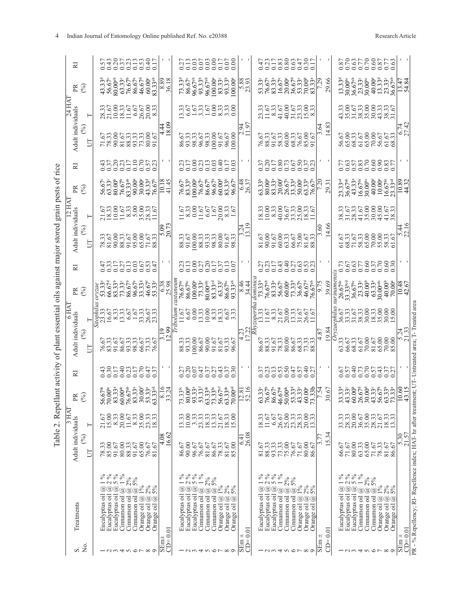| 27835881758<br>43188843017<br>000000000<br>877888778<br>0000000000<br>000000000<br>$\begin{array}{l} 43.33^{\text{4}}\\ 43.33^{\text{4}}\\ 56.67^{\text{e}}\\ 80.00^{\text{ab}}\\ 80.67^{\text{e}}\\ 76.67^{\text{e}}\\ 80.67^{\text{e}}\\ 80.67^{\text{e}}\\ 80.67^{\text{e}}\\ 80.00^{\text{a}}\\ 80.00^{\text{a}}\\ 80.00\\ 80.18\\ 30\\ \end{array}$<br>$73.33486.67486.67496.67496.67496.67496.67497.33100.004$<br>$\begin{array}{l} 13.33^{\text{d}}\\ 30.00^{\text{bc}}\\ 36.67^{\text{ab}}\\ 23.33^{\text{ca}}\\ 24.33^{\text{ca}}\\ 36.00^{\text{ca}}\\ 41.33^{\text{ca}}\\ 23.33^{\text{ca}}\\ 13.47\\ 14.7\\ 14.8\\ \end{array}$<br>5.88<br>29.66<br>300030003300<br>3000300030<br>33053000335<br>3305300335<br>330530335<br>83<br>$\ddot{a}$<br>$\overline{4}$<br>÷∞<br>57.<br>86.57<br>98.33<br>98.67<br>98.67<br>96.67<br>96.67<br>96.67<br>96.67<br>76.57<br>88.53.300.67<br>88.58.6676.67<br>91.67<br>91.67<br>37258755773<br>0000000000<br>705888887<br>2000000000<br>31183133415<br>200000000<br>$56.678\n58.333\n63.333\n63.333\n63.333\n64.67\n65.67\n66.67\n67.67\n68.334\n69.335\n69.337\n69.333\n69.333\n69.333\n69.333\n69.333\n69.333\n69.333\n69.333\n69.333\n69.333\n69.333\n69.333\n69.333\$<br>6.48<br>$\begin{array}{l} 76.67^{\circ} \\ 83.33^{\circ} \\ 80.00867^{\circ} \\ 86.67^{\circ} \\ 86.67^{\circ} \\ 96.333^{\circ} \\ 96.67^{\circ} \\ 97.533^{\circ} \\ 98.533^{\circ} \\ \end{array}$<br>$\begin{array}{l} 333\\ 63.39\\ 80.0\\ 83.39\\ 74.39\\ 86.5\\ 74.39\\ 86.39\\ 74.39\\ 86.33\\ 74.39\\ 74.39\\ 74.39\\ 74.39\\ 74.39\\ 74.39\\ 74.39\\ 74.39\\ 74.39\\ 74.39\\ 74.39\\ 74.39\\ 74.39\\ 74.39\\ 75.39\\ 76.39\\ 77.39\\ 78.39\\ 79.39\\ 79.39\\ 79.39\\$<br>$23.33$ <sup>d</sup><br>$36.67$ <sup>a</sup><br>$43.33$ <sup>4</sup><br>$16.67$ <sup>a</sup><br>$40.00$<br>$40.00$<br>$10.67$<br>$10.89$<br>$10.89$<br>$\frac{10.18}{41.45}$<br>29.31<br>$\begin{array}{l} 3300000 \\ 2000000 \\ 300000 \\ 400000 \\ 400000 \\ 50000 \\ 6000 \\ 7000 \\ 8000 \\ 1100 \\ 1110 \\ 1210 \\ 1320 \\ 1400 \\ 1500 \\ 1600 \\ 1700 \\ 1800 \\ 1900 \\ 1900 \\ 1900 \\ 1900 \\ 1900 \\ 1900 \\ 1900 \\ 1900 \\ 1900 \\ 1900 \\ 1900 \\ 1900 \\ 1900 \\ 1900 \\ 1900 \\ 1$<br>8<br>-18<br>251<br>251<br>$\overline{14}$ .<br>350033889583888888888<br>81.67<br>80.6780.675<br>80.6780.68<br>80.689.68<br>51<br>6875300000335<br>6876867686<br>6167686<br>338525536<br>0000000000<br>0000000000<br>2000000000<br>S | ant activity of plant essential<br>Adult individuals<br>$(\%)$<br>5<br>52<br>$\mathbb{R} \otimes$<br>Table 2. Repel<br>3 H AT<br>21.67<br>Adult individuals<br>Н<br>(%)<br>E |                                                                                                              |                                                                                                                |                                                                                                                                                                                                     |                                                 |                                                                                                                                                                     | $\mathbb{R} \otimes$                             | ≅                       | Adult individuals<br>oils against major stored<br>$\mathcal{E}$<br>Ë                                                                                                                                                                                                                                                                    | grain pests of rice<br>$\mathbb{R} \otimes$ | ≅                          | Adult individuals<br>$\mathcal{E}$<br>Ξ | ⊢                                      | $\mathbb{R} \otimes$ | 52                        |
|----------------------------------------------------------------------------------------------------------------------------------------------------------------------------------------------------------------------------------------------------------------------------------------------------------------------------------------------------------------------------------------------------------------------------------------------------------------------------------------------------------------------------------------------------------------------------------------------------------------------------------------------------------------------------------------------------------------------------------------------------------------------------------------------------------------------------------------------------------------------------------------------------------------------------------------------------------------------------------------------------------------------------------------------------------------------------------------------------------------------------------------------------------------------------------------------------------------------------------------------------------------------------------------------------------------------------------------------------------------------------------------------------------------------------------------------------------------------------------------------------------------------------------------------------------------------------------------------------------------------------------------------------------------------------------------------------------------------------------------------------------------------------------------------------------------------------------------------------------------------------------------------------------------------------------------------------------------------------------------------------------------------------------------------------------------------------------------------------------------------------------------------------------------------------------------------------------------------------------------------------------------------------------------------------------------------------------------------------------------------------------------------------------------------------------------------------------|------------------------------------------------------------------------------------------------------------------------------------------------------------------------------|--------------------------------------------------------------------------------------------------------------|----------------------------------------------------------------------------------------------------------------|-----------------------------------------------------------------------------------------------------------------------------------------------------------------------------------------------------|-------------------------------------------------|---------------------------------------------------------------------------------------------------------------------------------------------------------------------|--------------------------------------------------|-------------------------|-----------------------------------------------------------------------------------------------------------------------------------------------------------------------------------------------------------------------------------------------------------------------------------------------------------------------------------------|---------------------------------------------|----------------------------|-----------------------------------------|----------------------------------------|----------------------|---------------------------|
| $\begin{array}{c} 0.0000 \\ 0.00000 \\ 0.00000 \\ 0.0000 \\ \hline \end{array}$<br>76.67 <sup>#</sup><br>86.67 <sup>#</sup><br>86.67 <sup>#</sup><br>00.00 <sup>#</sup><br>00.00 <sup>#</sup><br>86.67 <sup>#</sup><br>86.67<br>33.33<br>36.67 <sup>be</sup><br>36.33<br>40.000#<br>30.000<br>73.33%<br>76.67%<br>83.33%<br>76.67%<br>76.67%<br>$_{nomim}$<br>13.3367836667<br>13.336786667<br>13.33678667<br>$\circ$<br>86533655533888558888888<br>57338855887<br>0000000000<br>$\begin{array}{l} \text{73.3\textup{}}\text{,} \\ \text{73.3\textup{}}\text{,} \\ \text{80.09} \\ \text{81.33\textup{}}\text{,} \\ \text{93.33\textup{}}\text{,} \\ \text{94.33\textup{}}\text{,} \\ \text{95.33\textup{}}\text{,} \\ \text{96.33\textup{}}\text{,} \\ \text{97.33\text{}}\text{,} \\ \text{98.33\text{}}\text{,} \\ \text{99.33\text{}}\text{,} \\ \text{99.33\text{}}\text{,} \\$<br>$\begin{array}{l} 63.33\\ 76.67\\ 86.67\\ 86.67\\ 46.63\\ 33.33\\ 63.33\\ 73.33\\ 73.31\\ 7.54 \end{array}$<br>\$0.67<br>13.33<br>50333033<br>8833033<br>33.33<br>28.33<br>6.67<br>$18.33$<br>11.67<br>$6.41$<br>26.08<br>$\frac{4.08}{16.62}$<br>15.34<br>$\frac{5.30}{21.57}$<br>F<br>3.<br>86.67<br>90.00<br>78.33<br>81.67<br>85.00<br>71.67<br>80.00<br>65.00<br>$\frac{71.67}{78.33}$<br>81.67<br>86.67<br>96.67<br>76.67<br>81.67<br>86.67<br>66.67                                                                                                                                                                                                                                                                                                                                                                                                                                                                                                                                                                                                                                                                                                                                                                                                                                                                                                                                                                                                                                                                                                       |                                                                                                                                                                              | 78.33<br>85.00<br>91.67<br>$\begin{array}{c} 80.00 \\ 88.33 \\ 91.67 \end{array}$<br>65.00<br>76.67<br>81.67 | $\frac{1}{1}$ $\frac{67}{2}$<br>$\frac{33}{2}$<br>$\frac{33}{2}$<br>$\frac{33}{2}$<br>$15.00$<br>8.33<br>20.00 | $\frac{67}{600}$<br>$\frac{67}{33}$<br>$\frac{67}{33}$<br>$\frac{13}{33}$<br>$\frac{13}{33}$<br>$\frac{13}{33}$<br>$\frac{13}{33}$<br>$\frac{13}{33}$<br>28<br>$^{\circ}$<br>28<br>$^{\circ}$<br>25 | 76.573<br>83.5673.357<br>83.5673.357<br>76.7687 | $\frac{35}{22}$<br>$\frac{35}{2}$<br>$\frac{333}{2}$<br>$\frac{65}{2}$<br>$\frac{333}{2}$<br>$\frac{65}{2}$<br>$\frac{333}{2}$<br>$\frac{65}{2}$<br>$\frac{333}{2}$ | الام 1955<br>1966 1979<br>1988 1986<br>1988 1987 | 432233634<br>4322336534 | $\begin{array}{l} 78.33 \\ 78.50 \\ 88.33 \\ 88.50 \\ 70 \\ 88.50 \\ 70 \\ 87.50 \\ 88 \\ 70 \\ 73 \\ 88 \\ 74 \\ 88 \\ 78 \\ 79 \\ 89 \\ 79 \\ 89 \\ 79 \\ 89 \\ 79 \\ 89 \\ 79 \\ 89 \\ 79 \\ 89 \\ 79 \\ 89 \\ 79 \\ 89 \\ 79 \\ 89 \\ 79 \\ 89 \\ 79 \\ 89 \\ 79 \\ 89 \\ 79 \\ 89 \\ 79 \\ 89 \\ 79 \\ 79 \\ 79 \\ 79 \\ 79 \\ 79$ |                                             | 437881128578<br>0000000000 |                                         | 33.33<br>2003.35<br>2003.35<br>2008.35 |                      | 53853338817<br>5385335888 |
|                                                                                                                                                                                                                                                                                                                                                                                                                                                                                                                                                                                                                                                                                                                                                                                                                                                                                                                                                                                                                                                                                                                                                                                                                                                                                                                                                                                                                                                                                                                                                                                                                                                                                                                                                                                                                                                                                                                                                                                                                                                                                                                                                                                                                                                                                                                                                                                                                                                          |                                                                                                                                                                              |                                                                                                              |                                                                                                                |                                                                                                                                                                                                     |                                                 |                                                                                                                                                                     |                                                  |                         |                                                                                                                                                                                                                                                                                                                                         |                                             |                            |                                         |                                        |                      |                           |
|                                                                                                                                                                                                                                                                                                                                                                                                                                                                                                                                                                                                                                                                                                                                                                                                                                                                                                                                                                                                                                                                                                                                                                                                                                                                                                                                                                                                                                                                                                                                                                                                                                                                                                                                                                                                                                                                                                                                                                                                                                                                                                                                                                                                                                                                                                                                                                                                                                                          |                                                                                                                                                                              |                                                                                                              |                                                                                                                |                                                                                                                                                                                                     |                                                 |                                                                                                                                                                     |                                                  |                         |                                                                                                                                                                                                                                                                                                                                         |                                             |                            |                                         |                                        |                      |                           |
|                                                                                                                                                                                                                                                                                                                                                                                                                                                                                                                                                                                                                                                                                                                                                                                                                                                                                                                                                                                                                                                                                                                                                                                                                                                                                                                                                                                                                                                                                                                                                                                                                                                                                                                                                                                                                                                                                                                                                                                                                                                                                                                                                                                                                                                                                                                                                                                                                                                          |                                                                                                                                                                              |                                                                                                              |                                                                                                                |                                                                                                                                                                                                     |                                                 |                                                                                                                                                                     |                                                  |                         |                                                                                                                                                                                                                                                                                                                                         |                                             |                            |                                         |                                        |                      |                           |
|                                                                                                                                                                                                                                                                                                                                                                                                                                                                                                                                                                                                                                                                                                                                                                                                                                                                                                                                                                                                                                                                                                                                                                                                                                                                                                                                                                                                                                                                                                                                                                                                                                                                                                                                                                                                                                                                                                                                                                                                                                                                                                                                                                                                                                                                                                                                                                                                                                                          |                                                                                                                                                                              |                                                                                                              |                                                                                                                |                                                                                                                                                                                                     |                                                 |                                                                                                                                                                     |                                                  |                         |                                                                                                                                                                                                                                                                                                                                         |                                             |                            |                                         |                                        |                      |                           |
|                                                                                                                                                                                                                                                                                                                                                                                                                                                                                                                                                                                                                                                                                                                                                                                                                                                                                                                                                                                                                                                                                                                                                                                                                                                                                                                                                                                                                                                                                                                                                                                                                                                                                                                                                                                                                                                                                                                                                                                                                                                                                                                                                                                                                                                                                                                                                                                                                                                          |                                                                                                                                                                              |                                                                                                              |                                                                                                                |                                                                                                                                                                                                     |                                                 |                                                                                                                                                                     |                                                  |                         |                                                                                                                                                                                                                                                                                                                                         |                                             |                            |                                         |                                        |                      |                           |
|                                                                                                                                                                                                                                                                                                                                                                                                                                                                                                                                                                                                                                                                                                                                                                                                                                                                                                                                                                                                                                                                                                                                                                                                                                                                                                                                                                                                                                                                                                                                                                                                                                                                                                                                                                                                                                                                                                                                                                                                                                                                                                                                                                                                                                                                                                                                                                                                                                                          |                                                                                                                                                                              |                                                                                                              |                                                                                                                |                                                                                                                                                                                                     |                                                 |                                                                                                                                                                     |                                                  |                         |                                                                                                                                                                                                                                                                                                                                         |                                             |                            |                                         |                                        |                      |                           |
|                                                                                                                                                                                                                                                                                                                                                                                                                                                                                                                                                                                                                                                                                                                                                                                                                                                                                                                                                                                                                                                                                                                                                                                                                                                                                                                                                                                                                                                                                                                                                                                                                                                                                                                                                                                                                                                                                                                                                                                                                                                                                                                                                                                                                                                                                                                                                                                                                                                          |                                                                                                                                                                              |                                                                                                              |                                                                                                                |                                                                                                                                                                                                     |                                                 |                                                                                                                                                                     |                                                  |                         |                                                                                                                                                                                                                                                                                                                                         |                                             |                            |                                         |                                        |                      |                           |
|                                                                                                                                                                                                                                                                                                                                                                                                                                                                                                                                                                                                                                                                                                                                                                                                                                                                                                                                                                                                                                                                                                                                                                                                                                                                                                                                                                                                                                                                                                                                                                                                                                                                                                                                                                                                                                                                                                                                                                                                                                                                                                                                                                                                                                                                                                                                                                                                                                                          |                                                                                                                                                                              |                                                                                                              |                                                                                                                |                                                                                                                                                                                                     |                                                 |                                                                                                                                                                     |                                                  |                         |                                                                                                                                                                                                                                                                                                                                         |                                             |                            |                                         |                                        |                      |                           |
|                                                                                                                                                                                                                                                                                                                                                                                                                                                                                                                                                                                                                                                                                                                                                                                                                                                                                                                                                                                                                                                                                                                                                                                                                                                                                                                                                                                                                                                                                                                                                                                                                                                                                                                                                                                                                                                                                                                                                                                                                                                                                                                                                                                                                                                                                                                                                                                                                                                          |                                                                                                                                                                              |                                                                                                              |                                                                                                                |                                                                                                                                                                                                     |                                                 |                                                                                                                                                                     |                                                  |                         |                                                                                                                                                                                                                                                                                                                                         |                                             |                            |                                         |                                        |                      |                           |
|                                                                                                                                                                                                                                                                                                                                                                                                                                                                                                                                                                                                                                                                                                                                                                                                                                                                                                                                                                                                                                                                                                                                                                                                                                                                                                                                                                                                                                                                                                                                                                                                                                                                                                                                                                                                                                                                                                                                                                                                                                                                                                                                                                                                                                                                                                                                                                                                                                                          |                                                                                                                                                                              |                                                                                                              |                                                                                                                |                                                                                                                                                                                                     |                                                 |                                                                                                                                                                     |                                                  |                         |                                                                                                                                                                                                                                                                                                                                         |                                             |                            |                                         |                                        |                      |                           |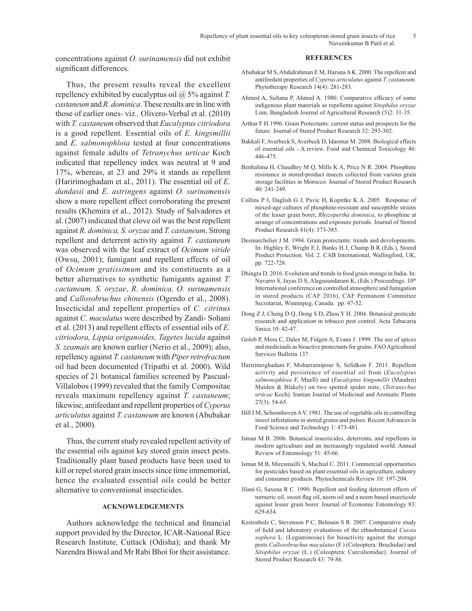concentrations against *O. surinamensis* did not exhibit significant differences.

Thus, the present results reveal the excellent repellency exhibited by eucalyptus oil @ 5% against *T. castaneum* and *R. dominica*. These results are in line with those of earlier ones- viz*.,* Olivero-Verbal et al. (2010) with *T. castaneum* observed that *Eucalyptus citriodora*  is a good repellent. Essential oils of *E. kingsmillii* and *E. salmonophloia* tested at four concentrations against female adults of *Tetranychus urticae* Koch indicated that repellency index was neutral at 9 and 17%, whereas, at 23 and 29% it stands as repellent (Haririmoghadam et al., 2011). The essential oil of *E. dundasii* and *E. astringens* against *O. surinamensis* show a more repellent effect corroborating the present results (Khemira et al., 2012). Study of Salvadores et al. (2007) indicated that clove oil was the best repellent against *R. dominica, S. oryzae* and *T. castaneum*. Strong repellent and deterrent activity against *T. castaneum*  was observed with the leaf extract of *Ocimum viride*  (Owsu, 2001); fumigant and repellent effects of oil of *Ocimum gratissimum* and its constituents as a better alternatives to synthetic fumigants against *T. cactaneum, S. oryzae*, *R. dominica, O. surinamensis* and *Callosobruchus chinensis* (Ogendo et al., 2008). Insecticidal and repellent properties of *C. citrinus*  against *C. maculatus* were described by Zandi- Sohani et al. (2013) and repellent effects of essential oils of *E. citriodora, Lippia origanoides, Tagetes lucida* against *S. zeamais* are known earlier (Nerio et al., 2009); also, repellency against *T. castaneum* with *Piper retrofractum*  oil had been documented (Tripathi et al. 2000). Wild species of 21 botanical families screened by Pascual-Villalobos (1999) revealed that the family Compositae reveals maximum repellency against *T. castaneum*; likewise, antifeedant and repellent properties of *Cyperus articulatus* against *T. castaneum* are known (Abubakar et al., 2000)*.*

Thus, the current study revealed repellent activity of the essential oils against key stored grain insect pests. Traditionally plant based products have been used to kill or repel stored grain insects since time immemorial, hence the evaluated essential oils could be better alternative to conventional insecticides.

## **ACKNOWLEDGEMENTS**

Authors acknowledge the technical and financial support provided by the Director, ICAR-National Rice Research Institute, Cuttack (Odisha); and thank Mr Narendra Biswal and Mr Rabi Bhoi for their assistance.

#### **REFERENCES**

- Abubakar M S, Abdulrahman E M, Haruna A K. 2000. The repellent and antifeedant properties of *Cyperus articulatus* against *T. castaneum.*  Phytotherapy Research 14(4): 281-283.
- Ahmed A, Sultana P, Ahmed A. 1980. Comparative efficacy of some indigenous plant materials as repellents against *Sitophilus oryzae*  Linn. Bangladesh Journal of Agricultural Research (5)2: 31-35.
- Arthur F H.1996. Grain Protectants: current status and prospects for the future. Journal of Stored Product Research 32: 293-302.
- Bakkali F, Averbeck S, Averbeck D, Idaomar M. 2008. Biological effects of essential oils - A review. Food and Chemical Toxicology 46: 446-475.
- Benhalima H, Chaudhry M Q, Mills K A, Price N R. 2004. Phosphine resistance in stored-product insects collected from various grain storage facilities in Morocco. Journal of Stored Product Research 40: 241-249.
- Collins P J, Daglish G J, Pavic H, Kopittke K A. 2005. Response of mixed-age cultures of phosphine-resistant and susceptible strains of the lesser grain borer, *Rhyzopertha dominica*, to phosphine at arrange of concentrations and exposure periods. Journal of Stored Product Research 41(4): 373-385.
- Desmarchelier J M. 1994. Grain protectants: trends and developments. In: Highley E, Wright E J, Banks H J, Champ B R (Eds.), Stored Product Protection. Vol. 2. CAB International, Wallingford, UK, pp. 722-728.
- Dhingra D. 2016. Evolution and trends in food grain storage in India. In: Navarro S, Jayas D S, Alagusundaram K, (Eds.) Proceedings.  $10<sup>th</sup>$ International conference on controlled atmosphere and fumigation in stored products (CAF 2016), CAF Permanent Committee Secretariat, Winninpeg, Canada. pp. 47-52.
- Dong Z J, Cheng D Q, Dong S D, Zhou Y H. 2004. Botanical pesticide research and application in tobacco pest control. Acta Tabacaria Sinica 10: 42-47.
- Golob P, Moss C, Dales M, Fidgen A, Evans J. 1999. The use of spices and medicinals as bioactive protectants for grains. FAO Agricultural Services Bulletin 137.
- Haririmoghadam F, Moharramipour S, Sefidkon F. 2011. Repellent activity and persistence of essential oil from (*Eucalyptus salmonophloia* F. Muell) and (*Eucalyptus kingsmillii* (Mauden) Maiden & Blakely) on two spotted spider mite, (*Tetranychus urticae* Koch). Iranian Journal of Medicinal and Aromatic Plants 27(3): 54-65.
- Hill J M, Schoonhoven A V. 1981. The use of vegetable oils in controlling insect infestations in stored grains and pulses. Recent Advances in Food Science and Technology 1: 473-481.
- Isman M B. 2006. Botanical insecticides, deterrents, and repellents in modern agriculture and an increasingly regulated world. Annual Review of Entomology 51: 45-66.
- Isman M B, Miresmailli S, Machial C. 2011. Commercial opportunities for pesticides based on plant essential oils in agriculture, industry and consumer products. Phytochemicals Review 10: 197-204.
- Jilani G, Saxena R C. 1990. Repellent and feeding deterrent effects of turmeric oil, sweet flag oil, neem oil and a neem based insecticide against lesser grain borer. Journal of Economic Entomology 83: 629-634.
- Kestenholz C, Stevenson P C, Belmain S R. 2007. Comparative study of field and laboratory evaluations of the ethnobotanical *Cassia sophera* L. (Leguminosae) for bioactivity against the storage pests *Callosobruchus maculatus* (F.) (Coleoptera: Bruchidae) and *Sitophilus oryzae* (L.) (Coleoptera: Curculionidae). Journal of Stored Product Research 43: 79-86.